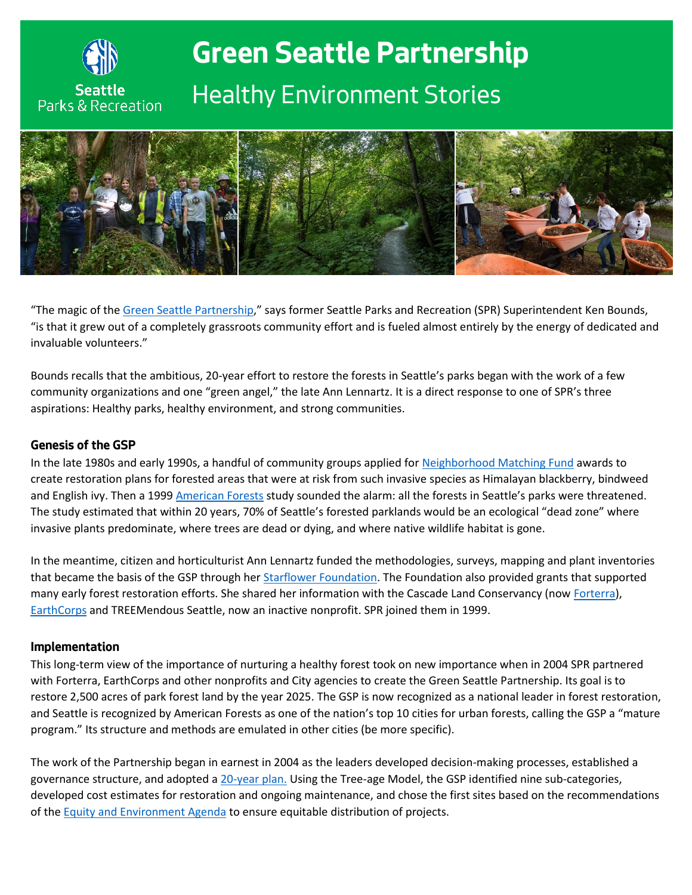

# **Green Seattle Partnership** *Healthy Environment Stories*



"The magic of the [Green Seattle Partnership](http://www.greenseattle.org/)," says former Seattle Parks and Recreation (SPR) Superintendent Ken Bounds, "is that it grew out of a completely grassroots community effort and is fueled almost entirely by the energy of dedicated and invaluable volunteers."

Bounds recalls that the ambitious, 20-year effort to restore the forests in Seattle's parks began with the work of a few community organizations and one "green angel," the late Ann Lennartz. It is a direct response to one of SPR's three aspirations: Healthy parks, healthy environment, and strong communities.

#### **Genesis of the GSP**

In the late 1980s and early 1990s, a handful of community groups applied fo[r Neighborhood Matching Fund](http://www.seattle.gov/neighborhoods/programs-and-services/neighborhood-matching-fund) awards to create restoration plans for forested areas that were at risk from such invasive species as Himalayan blackberry, bindweed and English ivy. Then a 199[9 American Forests](http://www.americanforests.org/) study sounded the alarm: all the forests in Seattle's parks were threatened. The study estimated that within 20 years, 70% of Seattle's forested parklands would be an ecological "dead zone" where invasive plants predominate, where trees are dead or dying, and where native wildlife habitat is gone.

In the meantime, citizen and horticulturist Ann Lennartz funded the methodologies, surveys, mapping and plant inventories that became the basis of the GSP through her [Starflower Foundation.](http://www.wnps.org/landscaping/herbarium/starflower.html) The Foundation also provided grants that supported many early forest restoration efforts. She shared her information with the Cascade Land Conservancy (no[w Forterra\)](https://forterra.org/), [EarthCorps](https://www.earthcorps.org/) and TREEMendous Seattle, now an inactive nonprofit. SPR joined them in 1999.

#### **Implementation**

This long-term view of the importance of nurturing a healthy forest took on new importance when in 2004 SPR partnered with Forterra, EarthCorps and other nonprofits and City agencies to create the Green Seattle Partnership. Its goal is to restore 2,500 acres of park forest land by the year 2025. The GSP is now recognized as a national leader in forest restoration, and Seattle is recognized by American Forests as one of the nation's top 10 cities for urban forests, calling the GSP a "mature program." Its structure and methods are emulated in other cities (be more specific).

The work of the Partnership began in earnest in 2004 as the leaders developed decision-making processes, established a governance structure, and adopted a [20-year plan.](http://www.greenseattle.org/wp-content/uploads/2015/04/GSP_20YrPlan5.1.06.pdf) Using the Tree-age Model, the GSP identified nine sub-categories, developed cost estimates for restoration and ongoing maintenance, and chose the first sites based on the recommendations of the **Equity and Environment Agenda** to ensure equitable distribution of projects.